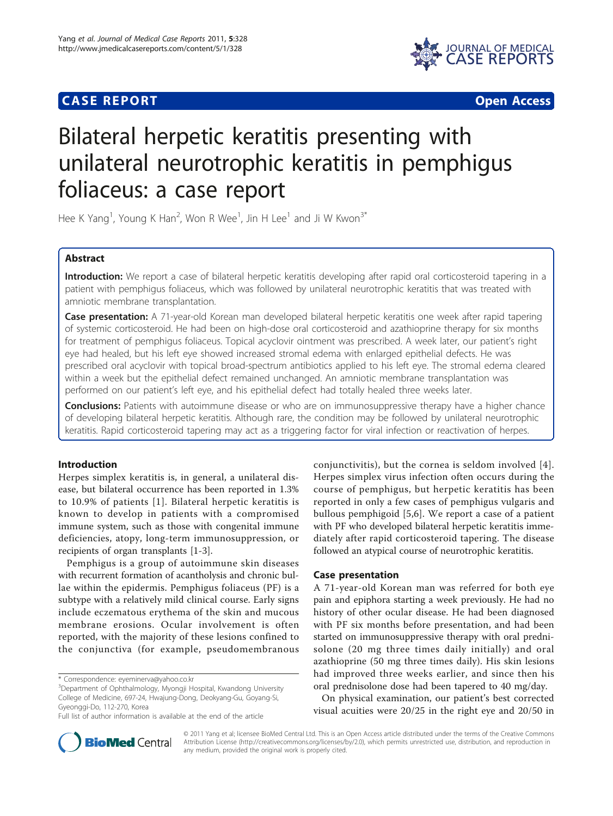# **CASE REPORT CASE REPORT CASE REPORT**



# Bilateral herpetic keratitis presenting with unilateral neurotrophic keratitis in pemphigus foliaceus: a case report

Hee K Yang<sup>1</sup>, Young K Han<sup>2</sup>, Won R Wee<sup>1</sup>, Jin H Lee<sup>1</sup> and Ji W Kwon<sup>3\*</sup>

# Abstract

Introduction: We report a case of bilateral herpetic keratitis developing after rapid oral corticosteroid tapering in a patient with pemphigus foliaceus, which was followed by unilateral neurotrophic keratitis that was treated with amniotic membrane transplantation.

Case presentation: A 71-year-old Korean man developed bilateral herpetic keratitis one week after rapid tapering of systemic corticosteroid. He had been on high-dose oral corticosteroid and azathioprine therapy for six months for treatment of pemphigus foliaceus. Topical acyclovir ointment was prescribed. A week later, our patient's right eye had healed, but his left eye showed increased stromal edema with enlarged epithelial defects. He was prescribed oral acyclovir with topical broad-spectrum antibiotics applied to his left eye. The stromal edema cleared within a week but the epithelial defect remained unchanged. An amniotic membrane transplantation was performed on our patient's left eye, and his epithelial defect had totally healed three weeks later.

**Conclusions:** Patients with autoimmune disease or who are on immunosuppressive therapy have a higher chance of developing bilateral herpetic keratitis. Although rare, the condition may be followed by unilateral neurotrophic keratitis. Rapid corticosteroid tapering may act as a triggering factor for viral infection or reactivation of herpes.

# Introduction

Herpes simplex keratitis is, in general, a unilateral disease, but bilateral occurrence has been reported in 1.3% to 10.9% of patients [[1\]](#page-3-0). Bilateral herpetic keratitis is known to develop in patients with a compromised immune system, such as those with congenital immune deficiencies, atopy, long-term immunosuppression, or recipients of organ transplants [\[1-3](#page-3-0)].

Pemphigus is a group of autoimmune skin diseases with recurrent formation of acantholysis and chronic bullae within the epidermis. Pemphigus foliaceus (PF) is a subtype with a relatively mild clinical course. Early signs include eczematous erythema of the skin and mucous membrane erosions. Ocular involvement is often reported, with the majority of these lesions confined to the conjunctiva (for example, pseudomembranous

\* Correspondence: [eyeminerva@yahoo.co.kr](mailto:eyeminerva@yahoo.co.kr)

conjunctivitis), but the cornea is seldom involved [[4\]](#page-3-0). Herpes simplex virus infection often occurs during the course of pemphigus, but herpetic keratitis has been reported in only a few cases of pemphigus vulgaris and bullous pemphigoid [[5,6](#page-3-0)]. We report a case of a patient with PF who developed bilateral herpetic keratitis immediately after rapid corticosteroid tapering. The disease followed an atypical course of neurotrophic keratitis.

## Case presentation

A 71-year-old Korean man was referred for both eye pain and epiphora starting a week previously. He had no history of other ocular disease. He had been diagnosed with PF six months before presentation, and had been started on immunosuppressive therapy with oral prednisolone (20 mg three times daily initially) and oral azathioprine (50 mg three times daily). His skin lesions had improved three weeks earlier, and since then his oral prednisolone dose had been tapered to 40 mg/day.

On physical examination, our patient's best corrected visual acuities were 20/25 in the right eye and 20/50 in



© 2011 Yang et al; licensee BioMed Central Ltd. This is an Open Access article distributed under the terms of the Creative Commons Attribution License [\(http://creativecommons.org/licenses/by/2.0](http://creativecommons.org/licenses/by/2.0)), which permits unrestricted use, distribution, and reproduction in any medium, provided the original work is properly cited.

<sup>&</sup>lt;sup>3</sup>Department of Ophthalmology, Myongji Hospital, Kwandong University College of Medicine, 697-24, Hwajung-Dong, Deokyang-Gu, Goyang-Si, Gyeonggi-Do, 112-270, Korea

Full list of author information is available at the end of the article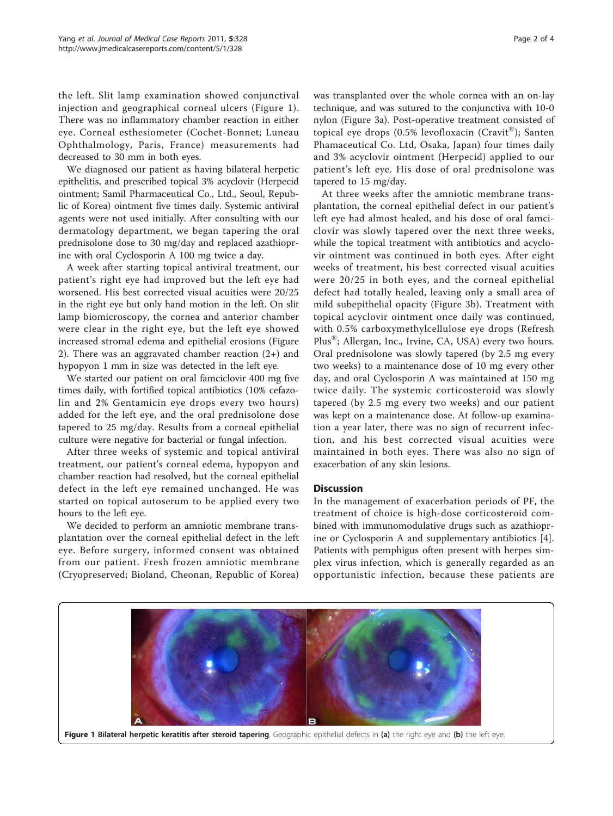the left. Slit lamp examination showed conjunctival injection and geographical corneal ulcers (Figure 1). There was no inflammatory chamber reaction in either eye. Corneal esthesiometer (Cochet-Bonnet; Luneau Ophthalmology, Paris, France) measurements had decreased to 30 mm in both eyes.

We diagnosed our patient as having bilateral herpetic epithelitis, and prescribed topical 3% acyclovir (Herpecid ointment; Samil Pharmaceutical Co., Ltd., Seoul, Republic of Korea) ointment five times daily. Systemic antiviral agents were not used initially. After consulting with our dermatology department, we began tapering the oral prednisolone dose to 30 mg/day and replaced azathioprine with oral Cyclosporin A 100 mg twice a day.

A week after starting topical antiviral treatment, our patient's right eye had improved but the left eye had worsened. His best corrected visual acuities were 20/25 in the right eye but only hand motion in the left. On slit lamp biomicroscopy, the cornea and anterior chamber were clear in the right eye, but the left eye showed increased stromal edema and epithelial erosions (Figure [2\)](#page-2-0). There was an aggravated chamber reaction (2+) and hypopyon 1 mm in size was detected in the left eye.

We started our patient on oral famciclovir 400 mg five times daily, with fortified topical antibiotics (10% cefazolin and 2% Gentamicin eye drops every two hours) added for the left eye, and the oral prednisolone dose tapered to 25 mg/day. Results from a corneal epithelial culture were negative for bacterial or fungal infection.

After three weeks of systemic and topical antiviral treatment, our patient's corneal edema, hypopyon and chamber reaction had resolved, but the corneal epithelial defect in the left eye remained unchanged. He was started on topical autoserum to be applied every two hours to the left eye.

We decided to perform an amniotic membrane transplantation over the corneal epithelial defect in the left eye. Before surgery, informed consent was obtained from our patient. Fresh frozen amniotic membrane (Cryopreserved; Bioland, Cheonan, Republic of Korea) was transplanted over the whole cornea with an on-lay technique, and was sutured to the conjunctiva with 10-0 nylon (Figure [3a](#page-2-0)). Post-operative treatment consisted of topical eye drops (0.5% levofloxacin (Cravit®); Santen Phamaceutical Co. Ltd, Osaka, Japan) four times daily and 3% acyclovir ointment (Herpecid) applied to our patient's left eye. His dose of oral prednisolone was tapered to 15 mg/day.

At three weeks after the amniotic membrane transplantation, the corneal epithelial defect in our patient's left eye had almost healed, and his dose of oral famciclovir was slowly tapered over the next three weeks, while the topical treatment with antibiotics and acyclovir ointment was continued in both eyes. After eight weeks of treatment, his best corrected visual acuities were 20/25 in both eyes, and the corneal epithelial defect had totally healed, leaving only a small area of mild subepithelial opacity (Figure [3b\)](#page-2-0). Treatment with topical acyclovir ointment once daily was continued, with 0.5% carboxymethylcellulose eye drops (Refresh Plus<sup>®</sup>; Allergan, Inc., Irvine, CA, USA) every two hours. Oral prednisolone was slowly tapered (by 2.5 mg every two weeks) to a maintenance dose of 10 mg every other day, and oral Cyclosporin A was maintained at 150 mg twice daily. The systemic corticosteroid was slowly tapered (by 2.5 mg every two weeks) and our patient was kept on a maintenance dose. At follow-up examination a year later, there was no sign of recurrent infection, and his best corrected visual acuities were maintained in both eyes. There was also no sign of exacerbation of any skin lesions.

## **Discussion**

In the management of exacerbation periods of PF, the treatment of choice is high-dose corticosteroid combined with immunomodulative drugs such as azathioprine or Cyclosporin A and supplementary antibiotics [\[4](#page-3-0)]. Patients with pemphigus often present with herpes simplex virus infection, which is generally regarded as an opportunistic infection, because these patients are

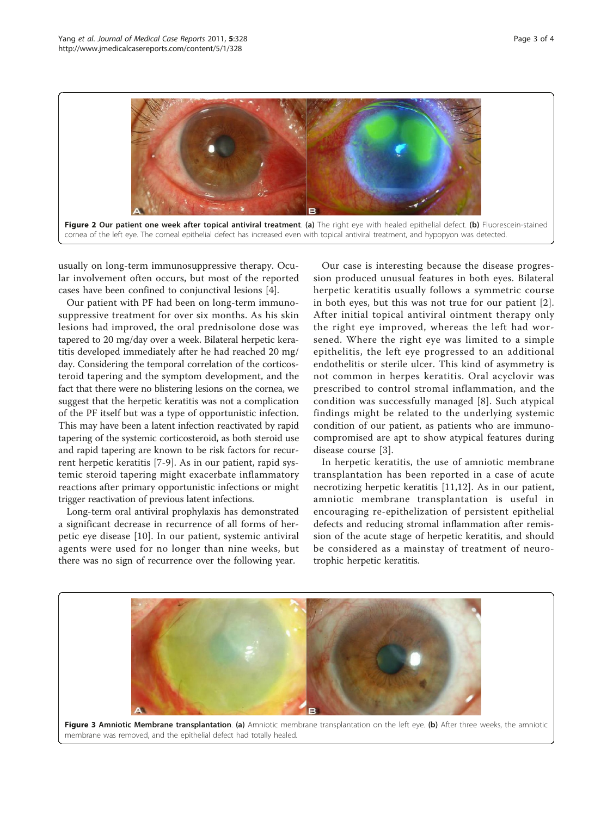<span id="page-2-0"></span>

usually on long-term immunosuppressive therapy. Ocular involvement often occurs, but most of the reported cases have been confined to conjunctival lesions [\[4](#page-3-0)].

Our patient with PF had been on long-term immunosuppressive treatment for over six months. As his skin lesions had improved, the oral prednisolone dose was tapered to 20 mg/day over a week. Bilateral herpetic keratitis developed immediately after he had reached 20 mg/ day. Considering the temporal correlation of the corticosteroid tapering and the symptom development, and the fact that there were no blistering lesions on the cornea, we suggest that the herpetic keratitis was not a complication of the PF itself but was a type of opportunistic infection. This may have been a latent infection reactivated by rapid tapering of the systemic corticosteroid, as both steroid use and rapid tapering are known to be risk factors for recurrent herpetic keratitis [[7-9](#page-3-0)]. As in our patient, rapid systemic steroid tapering might exacerbate inflammatory reactions after primary opportunistic infections or might trigger reactivation of previous latent infections.

Long-term oral antiviral prophylaxis has demonstrated a significant decrease in recurrence of all forms of herpetic eye disease [\[10](#page-3-0)]. In our patient, systemic antiviral agents were used for no longer than nine weeks, but there was no sign of recurrence over the following year.

Our case is interesting because the disease progression produced unusual features in both eyes. Bilateral herpetic keratitis usually follows a symmetric course in both eyes, but this was not true for our patient [[2](#page-3-0)]. After initial topical antiviral ointment therapy only the right eye improved, whereas the left had worsened. Where the right eye was limited to a simple epithelitis, the left eye progressed to an additional endothelitis or sterile ulcer. This kind of asymmetry is not common in herpes keratitis. Oral acyclovir was prescribed to control stromal inflammation, and the condition was successfully managed [[8](#page-3-0)]. Such atypical findings might be related to the underlying systemic condition of our patient, as patients who are immunocompromised are apt to show atypical features during disease course [[3](#page-3-0)].

In herpetic keratitis, the use of amniotic membrane transplantation has been reported in a case of acute necrotizing herpetic keratitis [[11](#page-3-0),[12\]](#page-3-0). As in our patient, amniotic membrane transplantation is useful in encouraging re-epithelization of persistent epithelial defects and reducing stromal inflammation after remission of the acute stage of herpetic keratitis, and should be considered as a mainstay of treatment of neurotrophic herpetic keratitis.